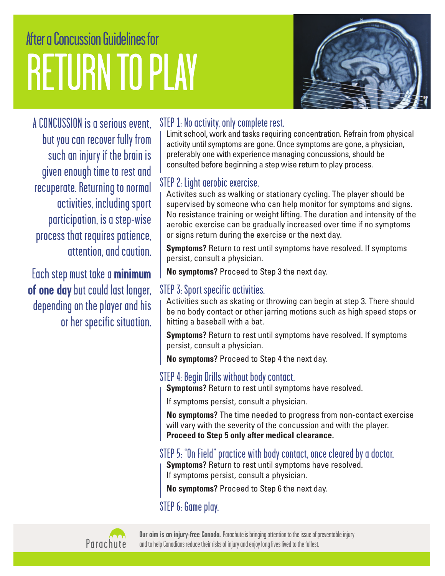# After a Concussion Guidelines for RETURN TO PLAY



A CONCUSSION is a serious event, but you can recover fully from such an injury if the brain is given enough time to rest and recuperate. Returning to normal activities, including sport participation, is a step-wise process that requires patience, attention, and caution.

Each step must take a **minimum of one day** but could last longer, depending on the player and his or her specific situation.

### STEP 1: No activity, only complete rest.

Limit school, work and tasks requiring concentration. Refrain from physical activity until symptoms are gone. Once symptoms are gone, a physician, preferably one with experience managing concussions, should be consulted before beginning a step wise return to play process.

### STEP 2: Light aerobic exercise.

Activites such as walking or stationary cycling. The player should be supervised by someone who can help monitor for symptoms and signs. No resistance training or weight lifting. The duration and intensity of the aerobic exercise can be gradually increased over time if no symptoms or signs return during the exercise or the next day.

**Symptoms?** Return to rest until symptoms have resolved. If symptoms persist, consult a physician.

**No symptoms?** Proceed to Step 3 the next day.

### STEP 3: Sport specific activities.

Activities such as skating or throwing can begin at step 3. There should be no body contact or other jarring motions such as high speed stops or hitting a baseball with a bat.

**Symptoms?** Return to rest until symptoms have resolved. If symptoms persist, consult a physician.

**No symptoms?** Proceed to Step 4 the next day.

### STEP 4: Begin Drills without body contact.

**Symptoms?** Return to rest until symptoms have resolved.

If symptoms persist, consult a physician.

**No symptoms?** The time needed to progress from non-contact exercise will vary with the severity of the concussion and with the player. **Proceed to Step 5 only after medical clearance.**

#### STEP 5: "On Field" practice with body contact, once cleared by a doctor.

**Symptoms?** Return to rest until symptoms have resolved. If symptoms persist, consult a physician.

**No symptoms?** Proceed to Step 6 the next day.

### STEP 6: Game play.



**Our aim is an injury-free Canada.** Parachute is bringing attention to the issue of preventable injury and to help Canadians reduce their risks of injury and enjoy long lives lived to the fullest.